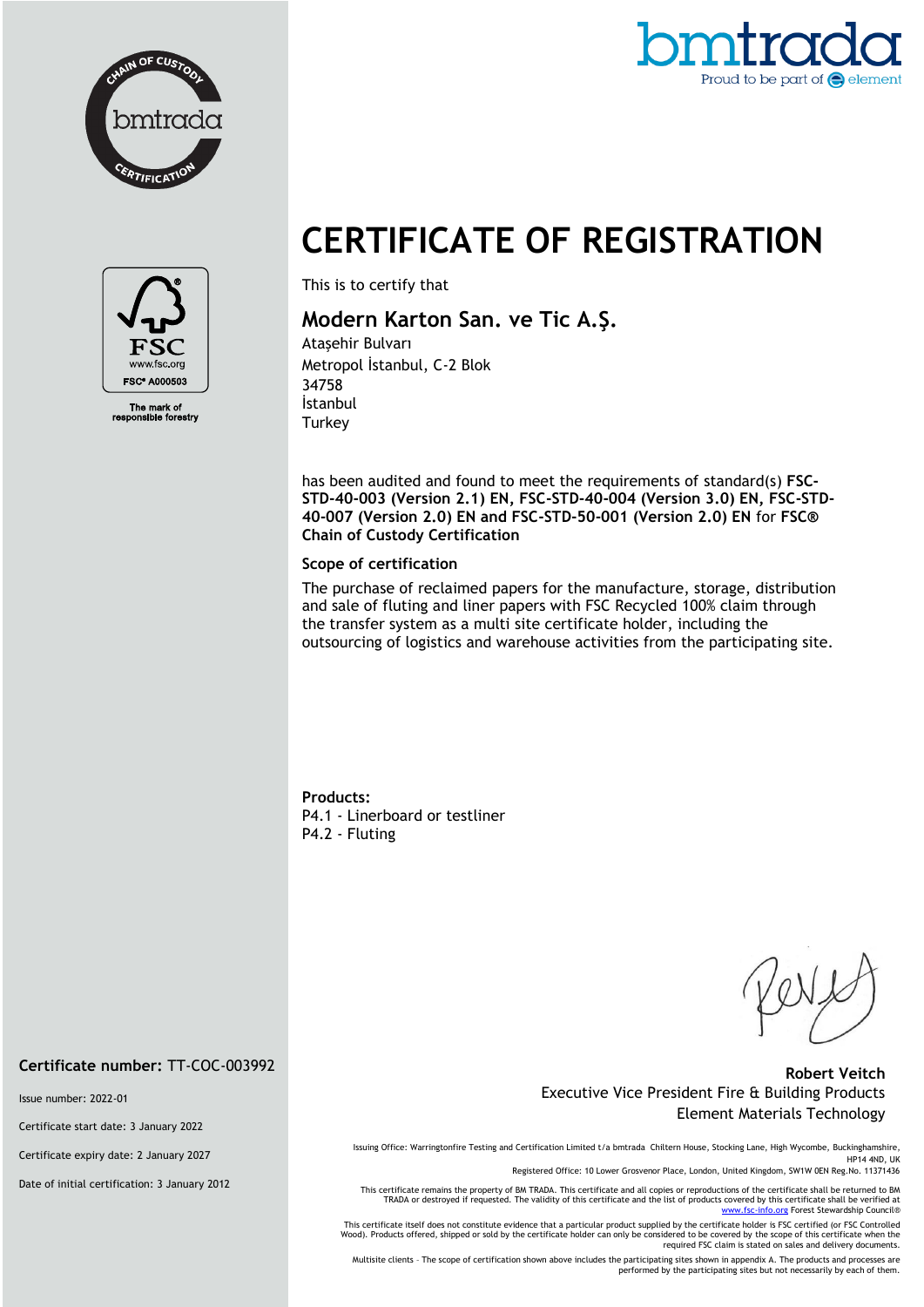



# **CERTIFICATE OF REGISTRATION**



The mark of<br>ponsible forestry

This is to certify that

# **Modern Karton San. ve Tic A.Ş.**

Ataşehir Bulvarı Metropol İstanbul, C-2 Blok 34758 İstanbul **Turkey** 

has been audited and found to meet the requirements of standard(s) **FSC-STD-40-003 (Version 2.1) EN, FSC-STD-40-004 (Version 3.0) EN, FSC-STD-40-007 (Version 2.0) EN and FSC-STD-50-001 (Version 2.0) EN** for **FSC® Chain of Custody Certification**

#### **Scope of certification**

The purchase of reclaimed papers for the manufacture, storage, distribution and sale of fluting and liner papers with FSC Recycled 100% claim through the transfer system as a multi site certificate holder, including the outsourcing of logistics and warehouse activities from the participating site.

**Products:** P4.1 - Linerboard or testliner P4.2 - Fluting

### **Robert Veitch** Executive Vice President Fire & Building Products Element Materials Technology

Issuing Office: Warringtonfire Testing and Certification Limited t/a bmtrada Chiltern House, Stocking Lane, High Wycombe, Buckinghamshire, HP14 4ND, UK

Registered Office: 10 Lower Grosvenor Place, London, United Kingdom, SW1W 0EN Reg.No. 11371436

This certificate remains the property of BM TRADA. This certificate and all copies or reproductions of the certificate shall be returned to BM TRADA or destroyed if requested. The validity of this certificate and the list of products covered by this certificate shall be verified at<br>[www.fsc-info.org](http://www.fsc-info.org/) Forest Stewardship Council®

This certificate itself does not constitute evidence that a particular product supplied by the certificate holder is FSC certified (or FSC Controlled Wood). Products offered, shipped or sold by the certificate holder can only be considered to be covered by the scope of this certificate when the required FSC claim is stated on sales and delivery documents.

Multisite clients – The scope of certification shown above includes the participating sites shown in appendix A. The products and processes are performed by the participating sites but not necessarily by each of them.

**Certificate number:** TT-COC-003992

Issue number: 2022-01

Certificate start date: 3 January 2022

Certificate expiry date: 2 January 2027

Date of initial certification: 3 January 2012